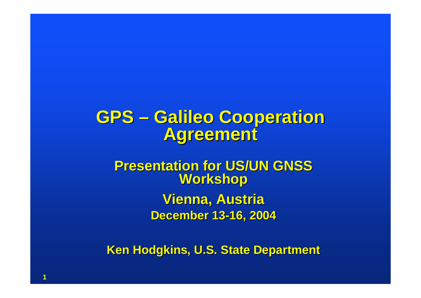## **GPS – Galileo Cooperation Galileo Cooperation Agreement Agreement**

### **Presentation for US/UN GNSS Presentation for US/UN GNSS Workshop Workshop Vienna, Austria December 13 December 13-16, 2004 16, 2004**

**Ken Hodgkins, U.S. State Department**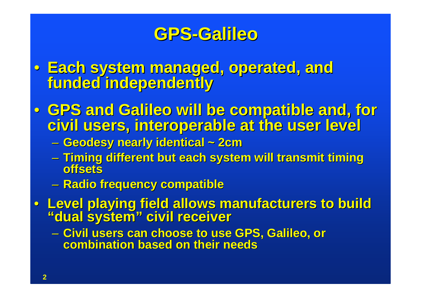- Each system managed, operated, and<br>**funded independently**
- GPS and Galileo will be compatible and, for **Givil users, interoperable at the user level** 
	- $\mathcal{L}_{\mathcal{A}}$  , and the set of the set of the set of the set of the set of the set of the set of the set of the set of the set of the set of the set of the set of the set of the set of the set of the set of the set of th **Geodesy nearly identical ~ 2cm Geodesy nearly identical ~ 2cm**
	- **Timing different but each system will transmit timing Timing different but each system will transmit timing offsetsoffsets**
	- **Radio frequency compatible Radio frequency compatible**
- **Level playing field allows manufacturers to build Level playing field allows manufacturers to build "dual system" civil receiver "dual system" civil receiver**

 $-$  Civil users can choose to use GPS, Galileo, or **combination based on their needs combination based on their needs**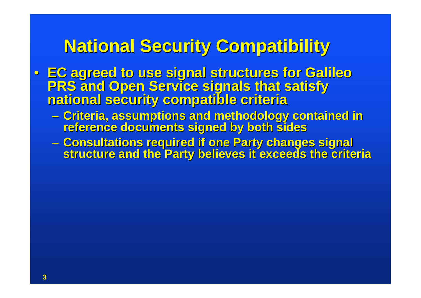## **National Security Compatibility National Security Compatibility**

- EC agreed to use signal structures for Galileo<br>PRS and Open Service signals that satisfy<br>national security compatible criteria
	- Criteria, assumptions and methodology contained in reference documents signed by both sides
	- Consultations required if one Party changes signal<br>structure and the Party believes it exceeds the criteria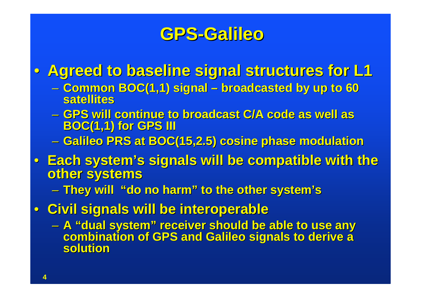• **Agreed to baseline signal structures for L1 Agreed to baseline signal structures for L1**

- **Common BOC(1,1) signal Common BOC(1,1) signal – broadcasted by up to 60 broadcasted by up to 60 satellitessatellites**
- **GPS will continue to broadcast C/A code as well as GPS will continue to broadcast C/A code as well as BOC(1,1) for GPS III BOC(1,1) for GPS III**
- **Galileo PRS at BOC(15,2.5) cosine phase modulation Galileo PRS at BOC(15,2.5) cosine phase modulation**
- **Each system's signals will be compatible with the Each system's signals will be compatible with the other systems other systems**
	- **They will "do no harm" to the other system's They will "do no harm" to the other system's**
- **Civil signals will be interoperable Civil signals will be interoperable** 
	- **A "dual system" receiver should be able to use any A "dual system" receiver should be able to use any combination of GPS and Galileo signals to derive a combination of GPS and Galileo signals to derive a solutionsolution**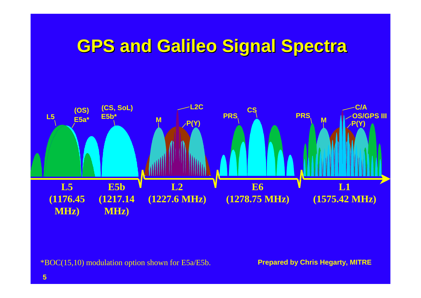## **GPS and Galileo Signal Spectra GPS and Galileo Signal Spectra**



\*BOC(15,10) modulation option shown for E5a/E5b.

**Prepared by Chris Hegarty, MITRE**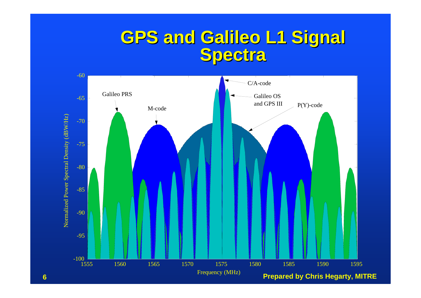# **GPS and Galileo L1 Signal GPS and Galileo L1 Signal Spectra Spectra**



**6**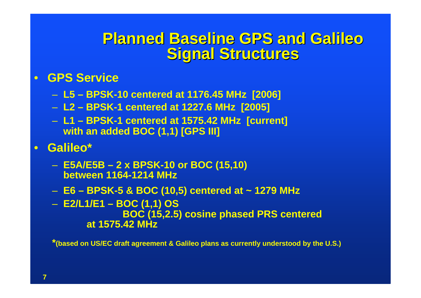### **Planned Baseline GPS and Galileo Planned Baseline GPS and GalileoSignal Structures Signal Structures**

#### • **GPS Service**

- **L5 – BPSK-10 centered at 1176.45 MHz [2006]**
- **L2 – BPSK-1 centered at 1227.6 MHz [2005]**
- **L1 – BPSK-1 centered at 1575.42 MHz [current] with an added BOC (1,1) [GPS III]**
- **Galileo\***
	- **E5A/E5B – 2 x BPSK-10 or BOC (15,10) between 1164-1214 MHz**
	- **E6 – BPSK-5 & BOC (10,5) centered at ~ 1279 MHz**
	- **E2/L1/E1 – BOC (1,1) OS BOC (15,2.5) cosine phased PRS centered at 1575.42 MHz**

**\*(based on US/EC draft agreement & Galileo plans as currently understood by the U.S.)**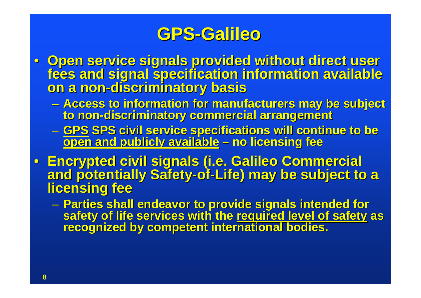- Open service signals provided without direct user **Open service signals provided without direct user Open service signals provided without direct user fees and signal specification information available fees and signal specification information available on a non on a non-discriminatory basis discriminatory basis**
	- **Access to information for manufacturers may be subject to non-discriminatory commercial arrangement discriminatory commercial arrangement**
	- <u>GPS</u> SPS civil service specifications will continue to be<br>— <u>open and publicly available</u> no licensing fee
- **Encrypted civil signals (i.e. Galileo Commercial** and potentially Safety-of-Life) may be subject to a<br>licensing fee
	- Parties shall endeavor to provide signals intended for safety of life services with the required level of safety as<br>recognized by competent international bodies.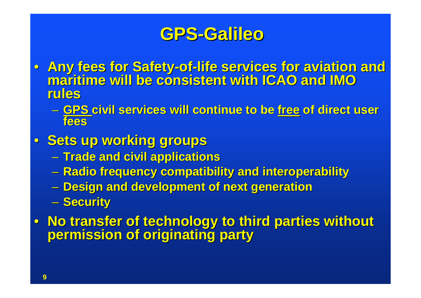- **Any fees for Safety Any fees for Safety-of-life services for aviation and life services for aviation and maritime will be consistent with ICAO and IMO maritime will be consistent with ICAO and IMO rules**
	- $-$  GPS civil services will continue to be free of direct user **fees**
- **Sets up working groups Sets up working groups**
	- **Trade and civil applications Trade and civil applications**
	- $\mathcal{L}_{\mathcal{A}}$  , and the set of the set of the set of the set of the set of the set of the set of the set of the set of the set of the set of the set of the set of the set of the set of the set of the set of the set of th **Radio frequency compatibility and interoperability Radio frequency compatibility and interoperability**
	- **Design and development of next generation**
	- **A** Security
- No transfer of technology to third parties without<br>permission of originating party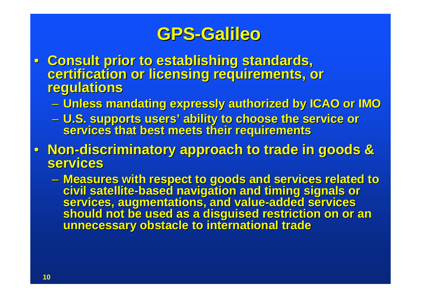- **Consult prior to establishing standards, Consult prior to establishing standards, certification or licensing requirements, or certification or licensing requirements, or regulations regulations** 
	- **Unless mandating expressly authorized by ICAO or IMO Unless mandating expressly authorized by ICAO or IMO**
	- <u>– Liberator Santa</u> – U.S. supports users' ability to choose the service or<br>services that best meets their requirements
- Non-discriminatory approach to trade in goods &<br> services **services**
	- $\mathcal{L}_{\mathcal{A}}$  , and the set of the set of the set of the set of the set of the set of the set of the set of the set of the set of the set of the set of the set of the set of the set of the set of the set of the set of th **– Measures with respect to goods and services related to and services related to an**<br>Measures with respect to goods and timing signals or civil satellite-based navigation and timing signals or<br>services, augmentations, and value-added services<br>should not be used as a disguised restriction on or an<br>unnecessary obstacle to international trade